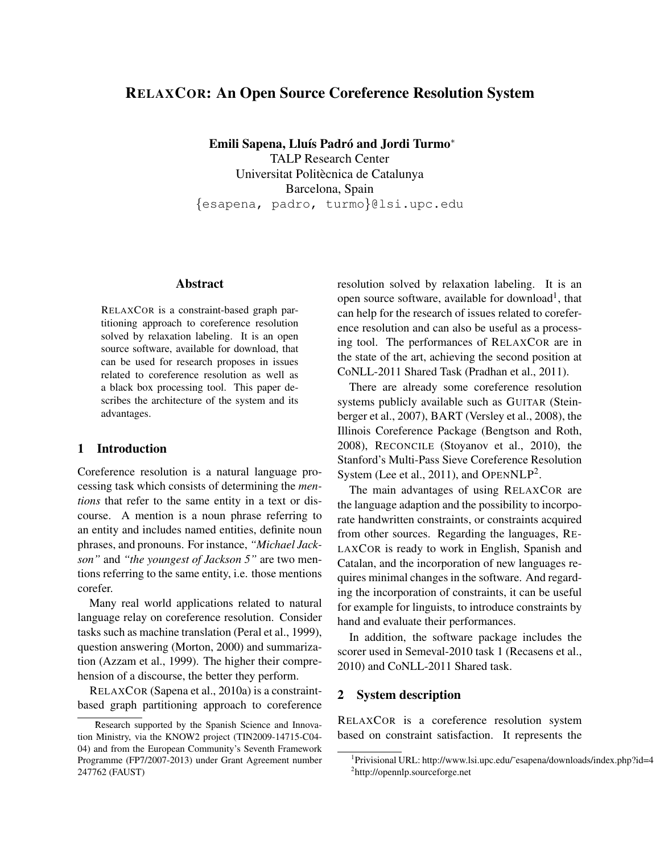# RELAXCOR: An Open Source Coreference Resolution System

Emili Sapena, Lluís Padró and Jordi Turmo\*

TALP Research Center Universitat Politècnica de Catalunya Barcelona, Spain {esapena, padro, turmo}@lsi.upc.edu

## Abstract

RELAXCOR is a constraint-based graph partitioning approach to coreference resolution solved by relaxation labeling. It is an open source software, available for download, that can be used for research proposes in issues related to coreference resolution as well as a black box processing tool. This paper describes the architecture of the system and its advantages.

## 1 Introduction

Coreference resolution is a natural language processing task which consists of determining the *mentions* that refer to the same entity in a text or discourse. A mention is a noun phrase referring to an entity and includes named entities, definite noun phrases, and pronouns. For instance, *"Michael Jackson"* and *"the youngest of Jackson 5"* are two mentions referring to the same entity, i.e. those mentions corefer.

Many real world applications related to natural language relay on coreference resolution. Consider tasks such as machine translation (Peral et al., 1999), question answering (Morton, 2000) and summarization (Azzam et al., 1999). The higher their comprehension of a discourse, the better they perform.

RELAXCOR (Sapena et al., 2010a) is a constraintbased graph partitioning approach to coreference resolution solved by relaxation labeling. It is an open source software, available for download<sup>1</sup>, that can help for the research of issues related to coreference resolution and can also be useful as a processing tool. The performances of RELAXCOR are in the state of the art, achieving the second position at CoNLL-2011 Shared Task (Pradhan et al., 2011).

There are already some coreference resolution systems publicly available such as GUITAR (Steinberger et al., 2007), BART (Versley et al., 2008), the Illinois Coreference Package (Bengtson and Roth, 2008), RECONCILE (Stoyanov et al., 2010), the Stanford's Multi-Pass Sieve Coreference Resolution System (Lee et al., 2011), and OPENNLP<sup>2</sup>.

The main advantages of using RELAXCOR are the language adaption and the possibility to incorporate handwritten constraints, or constraints acquired from other sources. Regarding the languages, RE-LAXCOR is ready to work in English, Spanish and Catalan, and the incorporation of new languages requires minimal changes in the software. And regarding the incorporation of constraints, it can be useful for example for linguists, to introduce constraints by hand and evaluate their performances.

In addition, the software package includes the scorer used in Semeval-2010 task 1 (Recasens et al., 2010) and CoNLL-2011 Shared task.

## 2 System description

RELAXCOR is a coreference resolution system based on constraint satisfaction. It represents the

Research supported by the Spanish Science and Innovation Ministry, via the KNOW2 project (TIN2009-14715-C04- 04) and from the European Community's Seventh Framework Programme (FP7/2007-2013) under Grant Agreement number 247762 (FAUST)

<sup>&</sup>lt;sup>1</sup>Privisional URL: http://www.lsi.upc.edu/~esapena/downloads/index.php?id=4 2 http://opennlp.sourceforge.net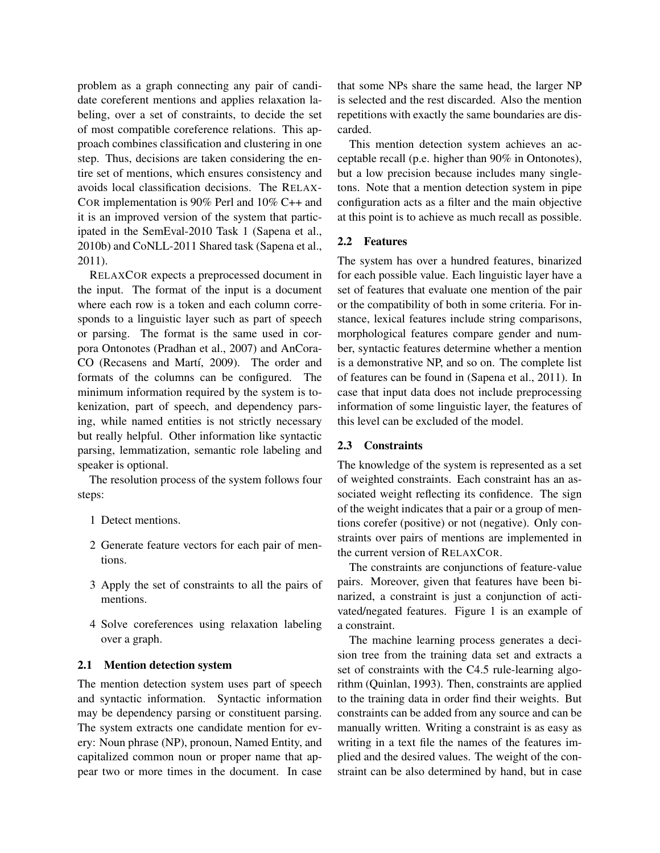problem as a graph connecting any pair of candidate coreferent mentions and applies relaxation labeling, over a set of constraints, to decide the set of most compatible coreference relations. This approach combines classification and clustering in one step. Thus, decisions are taken considering the entire set of mentions, which ensures consistency and avoids local classification decisions. The RELAX-COR implementation is 90% Perl and 10% C++ and it is an improved version of the system that participated in the SemEval-2010 Task 1 (Sapena et al., 2010b) and CoNLL-2011 Shared task (Sapena et al., 2011).

RELAXCOR expects a preprocessed document in the input. The format of the input is a document where each row is a token and each column corresponds to a linguistic layer such as part of speech or parsing. The format is the same used in corpora Ontonotes (Pradhan et al., 2007) and AnCora-CO (Recasens and Martí, 2009). The order and formats of the columns can be configured. The minimum information required by the system is tokenization, part of speech, and dependency parsing, while named entities is not strictly necessary but really helpful. Other information like syntactic parsing, lemmatization, semantic role labeling and speaker is optional.

The resolution process of the system follows four steps:

- 1 Detect mentions.
- 2 Generate feature vectors for each pair of mentions.
- 3 Apply the set of constraints to all the pairs of mentions.
- 4 Solve coreferences using relaxation labeling over a graph.

### 2.1 Mention detection system

The mention detection system uses part of speech and syntactic information. Syntactic information may be dependency parsing or constituent parsing. The system extracts one candidate mention for every: Noun phrase (NP), pronoun, Named Entity, and capitalized common noun or proper name that appear two or more times in the document. In case that some NPs share the same head, the larger NP is selected and the rest discarded. Also the mention repetitions with exactly the same boundaries are discarded.

This mention detection system achieves an acceptable recall (p.e. higher than 90% in Ontonotes), but a low precision because includes many singletons. Note that a mention detection system in pipe configuration acts as a filter and the main objective at this point is to achieve as much recall as possible.

### 2.2 Features

The system has over a hundred features, binarized for each possible value. Each linguistic layer have a set of features that evaluate one mention of the pair or the compatibility of both in some criteria. For instance, lexical features include string comparisons, morphological features compare gender and number, syntactic features determine whether a mention is a demonstrative NP, and so on. The complete list of features can be found in (Sapena et al., 2011). In case that input data does not include preprocessing information of some linguistic layer, the features of this level can be excluded of the model.

#### 2.3 Constraints

The knowledge of the system is represented as a set of weighted constraints. Each constraint has an associated weight reflecting its confidence. The sign of the weight indicates that a pair or a group of mentions corefer (positive) or not (negative). Only constraints over pairs of mentions are implemented in the current version of RELAXCOR.

The constraints are conjunctions of feature-value pairs. Moreover, given that features have been binarized, a constraint is just a conjunction of activated/negated features. Figure 1 is an example of a constraint.

The machine learning process generates a decision tree from the training data set and extracts a set of constraints with the C4.5 rule-learning algorithm (Quinlan, 1993). Then, constraints are applied to the training data in order find their weights. But constraints can be added from any source and can be manually written. Writing a constraint is as easy as writing in a text file the names of the features implied and the desired values. The weight of the constraint can be also determined by hand, but in case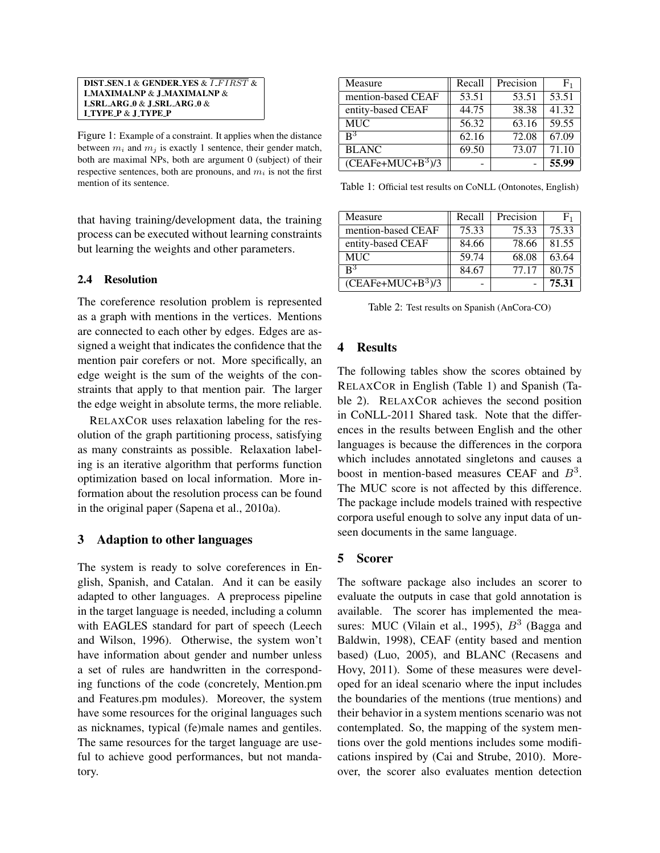DIST SEN 1 & GENDER YES & *I FIRST* & I MAXIMALNP & J MAXIMALNP & I SRL ARG 0 & J SRL ARG 0 & I TYPE P & J TYPE P

Figure 1: Example of a constraint. It applies when the distance between  $m_i$  and  $m_j$  is exactly 1 sentence, their gender match, both are maximal NPs, both are argument 0 (subject) of their respective sentences, both are pronouns, and  $m_i$  is not the first mention of its sentence.

that having training/development data, the training process can be executed without learning constraints but learning the weights and other parameters.

### 2.4 Resolution

The coreference resolution problem is represented as a graph with mentions in the vertices. Mentions are connected to each other by edges. Edges are assigned a weight that indicates the confidence that the mention pair corefers or not. More specifically, an edge weight is the sum of the weights of the constraints that apply to that mention pair. The larger the edge weight in absolute terms, the more reliable.

RELAXCOR uses relaxation labeling for the resolution of the graph partitioning process, satisfying as many constraints as possible. Relaxation labeling is an iterative algorithm that performs function optimization based on local information. More information about the resolution process can be found in the original paper (Sapena et al., 2010a).

# 3 Adaption to other languages

The system is ready to solve coreferences in English, Spanish, and Catalan. And it can be easily adapted to other languages. A preprocess pipeline in the target language is needed, including a column with EAGLES standard for part of speech (Leech and Wilson, 1996). Otherwise, the system won't have information about gender and number unless a set of rules are handwritten in the corresponding functions of the code (concretely, Mention.pm and Features.pm modules). Moreover, the system have some resources for the original languages such as nicknames, typical (fe)male names and gentiles. The same resources for the target language are useful to achieve good performances, but not mandatory.

| Measure             | Recall | Precision | ${\rm F_1}$ |
|---------------------|--------|-----------|-------------|
| mention-based CEAF  | 53.51  | 53.51     | 53.51       |
| entity-based CEAF   | 44.75  | 38.38     | 41.32       |
| <b>MUC</b>          | 56.32  | 63.16     | 59.55       |
| $\mathbf{R}^3$      | 62.16  | 72.08     | 67.09       |
| <b>BLANC</b>        | 69.50  | 73.07     | 71.10       |
| $(CEAFe+MUC+B^3)/3$ |        |           | 55.99       |

Table 1: Official test results on CoNLL (Ontonotes, English)

| Measure             | Recall | Precision | F <sub>1</sub> |
|---------------------|--------|-----------|----------------|
| mention-based CEAF  | 75.33  | 75.33     | 75.33          |
| entity-based CEAF   | 84.66  | 78.66     | 81.55          |
| <b>MUC</b>          | 59.74  | 68.08     | 63.64          |
| $\mathbf{R}^3$      | 84.67  | 77.17     | 80.75          |
| $(CEAFe+MUC+B^3)/3$ |        |           | 75.31          |

Table 2: Test results on Spanish (AnCora-CO)

# 4 Results

The following tables show the scores obtained by RELAXCOR in English (Table 1) and Spanish (Table 2). RELAXCOR achieves the second position in CoNLL-2011 Shared task. Note that the differences in the results between English and the other languages is because the differences in the corpora which includes annotated singletons and causes a boost in mention-based measures CEAF and  $B<sup>3</sup>$ . The MUC score is not affected by this difference. The package include models trained with respective corpora useful enough to solve any input data of unseen documents in the same language.

# 5 Scorer

The software package also includes an scorer to evaluate the outputs in case that gold annotation is available. The scorer has implemented the measures: MUC (Vilain et al., 1995),  $B^3$  (Bagga and Baldwin, 1998), CEAF (entity based and mention based) (Luo, 2005), and BLANC (Recasens and Hovy, 2011). Some of these measures were developed for an ideal scenario where the input includes the boundaries of the mentions (true mentions) and their behavior in a system mentions scenario was not contemplated. So, the mapping of the system mentions over the gold mentions includes some modifications inspired by (Cai and Strube, 2010). Moreover, the scorer also evaluates mention detection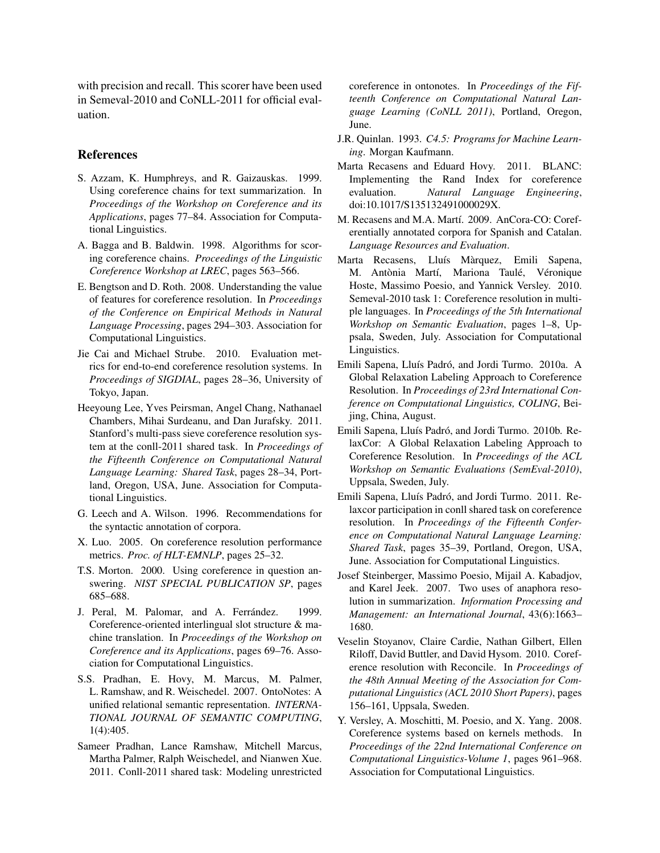with precision and recall. This scorer have been used in Semeval-2010 and CoNLL-2011 for official evaluation.

#### References

- S. Azzam, K. Humphreys, and R. Gaizauskas. 1999. Using coreference chains for text summarization. In *Proceedings of the Workshop on Coreference and its Applications*, pages 77–84. Association for Computational Linguistics.
- A. Bagga and B. Baldwin. 1998. Algorithms for scoring coreference chains. *Proceedings of the Linguistic Coreference Workshop at LREC*, pages 563–566.
- E. Bengtson and D. Roth. 2008. Understanding the value of features for coreference resolution. In *Proceedings of the Conference on Empirical Methods in Natural Language Processing*, pages 294–303. Association for Computational Linguistics.
- Jie Cai and Michael Strube. 2010. Evaluation metrics for end-to-end coreference resolution systems. In *Proceedings of SIGDIAL*, pages 28–36, University of Tokyo, Japan.
- Heeyoung Lee, Yves Peirsman, Angel Chang, Nathanael Chambers, Mihai Surdeanu, and Dan Jurafsky. 2011. Stanford's multi-pass sieve coreference resolution system at the conll-2011 shared task. In *Proceedings of the Fifteenth Conference on Computational Natural Language Learning: Shared Task*, pages 28–34, Portland, Oregon, USA, June. Association for Computational Linguistics.
- G. Leech and A. Wilson. 1996. Recommendations for the syntactic annotation of corpora.
- X. Luo. 2005. On coreference resolution performance metrics. *Proc. of HLT-EMNLP*, pages 25–32.
- T.S. Morton. 2000. Using coreference in question answering. *NIST SPECIAL PUBLICATION SP*, pages 685–688.
- J. Peral, M. Palomar, and A. Ferrández. (1999.) Coreference-oriented interlingual slot structure & machine translation. In *Proceedings of the Workshop on Coreference and its Applications*, pages 69–76. Association for Computational Linguistics.
- S.S. Pradhan, E. Hovy, M. Marcus, M. Palmer, L. Ramshaw, and R. Weischedel. 2007. OntoNotes: A unified relational semantic representation. *INTERNA-TIONAL JOURNAL OF SEMANTIC COMPUTING*, 1(4):405.
- Sameer Pradhan, Lance Ramshaw, Mitchell Marcus, Martha Palmer, Ralph Weischedel, and Nianwen Xue. 2011. Conll-2011 shared task: Modeling unrestricted

coreference in ontonotes. In *Proceedings of the Fifteenth Conference on Computational Natural Language Learning (CoNLL 2011)*, Portland, Oregon, June.

- J.R. Quinlan. 1993. *C4.5: Programs for Machine Learning*. Morgan Kaufmann.
- Marta Recasens and Eduard Hovy. 2011. BLANC: Implementing the Rand Index for coreference evaluation. *Natural Language Engineering*, doi:10.1017/S135132491000029X.
- M. Recasens and M.A. Martí. 2009. AnCora-CO: Coreferentially annotated corpora for Spanish and Catalan. *Language Resources and Evaluation*.
- Marta Recasens, Lluís Màrquez, Emili Sapena, M. Antònia Martí, Mariona Taulé, Véronique Hoste, Massimo Poesio, and Yannick Versley. 2010. Semeval-2010 task 1: Coreference resolution in multiple languages. In *Proceedings of the 5th International Workshop on Semantic Evaluation*, pages 1–8, Uppsala, Sweden, July. Association for Computational Linguistics.
- Emili Sapena, Lluís Padró, and Jordi Turmo. 2010a. A Global Relaxation Labeling Approach to Coreference Resolution. In *Proceedings of 23rd International Conference on Computational Linguistics, COLING*, Beijing, China, August.
- Emili Sapena, Lluís Padró, and Jordi Turmo. 2010b. RelaxCor: A Global Relaxation Labeling Approach to Coreference Resolution. In *Proceedings of the ACL Workshop on Semantic Evaluations (SemEval-2010)*, Uppsala, Sweden, July.
- Emili Sapena, Lluís Padró, and Jordi Turmo. 2011. Relaxcor participation in conll shared task on coreference resolution. In *Proceedings of the Fifteenth Conference on Computational Natural Language Learning: Shared Task*, pages 35–39, Portland, Oregon, USA, June. Association for Computational Linguistics.
- Josef Steinberger, Massimo Poesio, Mijail A. Kabadjov, and Karel Jeek. 2007. Two uses of anaphora resolution in summarization. *Information Processing and Management: an International Journal*, 43(6):1663– 1680.
- Veselin Stoyanov, Claire Cardie, Nathan Gilbert, Ellen Riloff, David Buttler, and David Hysom. 2010. Coreference resolution with Reconcile. In *Proceedings of the 48th Annual Meeting of the Association for Computational Linguistics (ACL 2010 Short Papers)*, pages 156–161, Uppsala, Sweden.
- Y. Versley, A. Moschitti, M. Poesio, and X. Yang. 2008. Coreference systems based on kernels methods. In *Proceedings of the 22nd International Conference on Computational Linguistics-Volume 1*, pages 961–968. Association for Computational Linguistics.